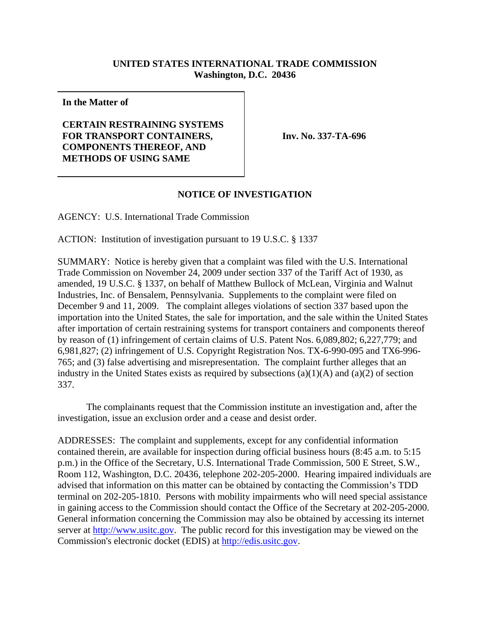## **UNITED STATES INTERNATIONAL TRADE COMMISSION Washington, D.C. 20436**

**In the Matter of**

## **CERTAIN RESTRAINING SYSTEMS FOR TRANSPORT CONTAINERS, COMPONENTS THEREOF, AND METHODS OF USING SAME**

**Inv. No. 337-TA-696**

## **NOTICE OF INVESTIGATION**

AGENCY: U.S. International Trade Commission

ACTION: Institution of investigation pursuant to 19 U.S.C. § 1337

SUMMARY: Notice is hereby given that a complaint was filed with the U.S. International Trade Commission on November 24, 2009 under section 337 of the Tariff Act of 1930, as amended, 19 U.S.C. § 1337, on behalf of Matthew Bullock of McLean, Virginia and Walnut Industries, Inc. of Bensalem, Pennsylvania. Supplements to the complaint were filed on December 9 and 11, 2009. The complaint alleges violations of section 337 based upon the importation into the United States, the sale for importation, and the sale within the United States after importation of certain restraining systems for transport containers and components thereof by reason of (1) infringement of certain claims of U.S. Patent Nos. 6,089,802; 6,227,779; and 6,981,827; (2) infringement of U.S. Copyright Registration Nos. TX-6-990-095 and TX6-996- 765; and (3) false advertising and misrepresentation. The complaint further alleges that an industry in the United States exists as required by subsections  $(a)(1)(A)$  and  $(a)(2)$  of section 337.

The complainants request that the Commission institute an investigation and, after the investigation, issue an exclusion order and a cease and desist order.

ADDRESSES: The complaint and supplements, except for any confidential information contained therein, are available for inspection during official business hours (8:45 a.m. to 5:15 p.m.) in the Office of the Secretary, U.S. International Trade Commission, 500 E Street, S.W., Room 112, Washington, D.C. 20436, telephone 202-205-2000. Hearing impaired individuals are advised that information on this matter can be obtained by contacting the Commission's TDD terminal on 202-205-1810. Persons with mobility impairments who will need special assistance in gaining access to the Commission should contact the Office of the Secretary at 202-205-2000. General information concerning the Commission may also be obtained by accessing its internet server at http://www.usitc.gov. The public record for this investigation may be viewed on the Commission's electronic docket (EDIS) at http://edis.usitc.gov.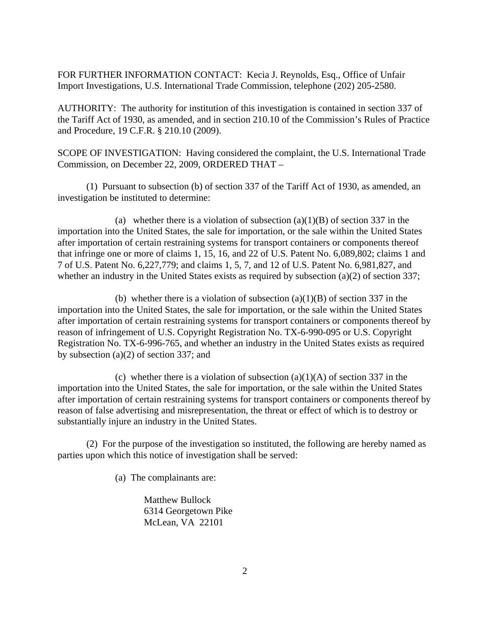FOR FURTHER INFORMATION CONTACT: Kecia J. Reynolds, Esq., Office of Unfair Import Investigations, U.S. International Trade Commission, telephone (202) 205-2580.

AUTHORITY: The authority for institution of this investigation is contained in section 337 of the Tariff Act of 1930, as amended, and in section 210.10 of the Commission's Rules of Practice and Procedure, 19 C.F.R. § 210.10 (2009).

SCOPE OF INVESTIGATION: Having considered the complaint, the U.S. International Trade Commission, on December 22, 2009, ORDERED THAT –

(1) Pursuant to subsection (b) of section 337 of the Tariff Act of 1930, as amended, an investigation be instituted to determine:

(a) whether there is a violation of subsection  $(a)(1)(B)$  of section 337 in the importation into the United States, the sale for importation, or the sale within the United States after importation of certain restraining systems for transport containers or components thereof that infringe one or more of claims 1, 15, 16, and 22 of U.S. Patent No. 6,089,802; claims 1 and 7 of U.S. Patent No. 6,227,779; and claims 1, 5, 7, and 12 of U.S. Patent No. 6,981,827, and whether an industry in the United States exists as required by subsection (a)(2) of section 337;

(b) whether there is a violation of subsection  $(a)(1)(B)$  of section 337 in the importation into the United States, the sale for importation, or the sale within the United States after importation of certain restraining systems for transport containers or components thereof by reason of infringement of U.S. Copyright Registration No. TX-6-990-095 or U.S. Copyright Registration No. TX-6-996-765, and whether an industry in the United States exists as required by subsection (a)(2) of section 337; and

(c) whether there is a violation of subsection  $(a)(1)(A)$  of section 337 in the importation into the United States, the sale for importation, or the sale within the United States after importation of certain restraining systems for transport containers or components thereof by reason of false advertising and misrepresentation, the threat or effect of which is to destroy or substantially injure an industry in the United States.

(2) For the purpose of the investigation so instituted, the following are hereby named as parties upon which this notice of investigation shall be served:

(a) The complainants are:

Matthew Bullock 6314 Georgetown Pike McLean, VA 22101